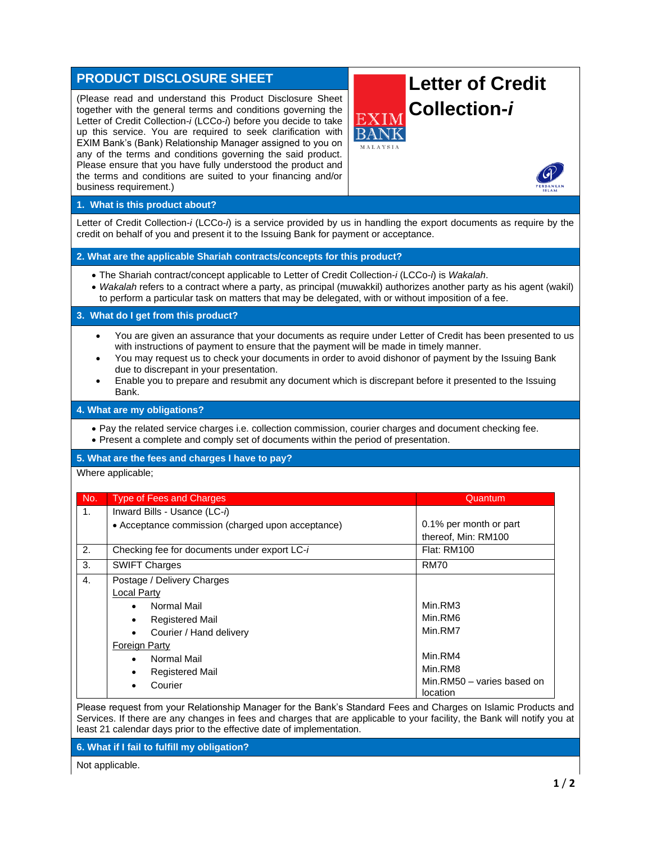# **PRODUCT DISCLOSURE SHEET**

(Please read and understand this Product Disclosure Sheet together with the general terms and conditions governing the Letter of Credit Collection-*i* (LCCo-*i*) before you decide to take up this service. You are required to seek clarification with EXIM Bank's (Bank) Relationship Manager assigned to you on any of the terms and conditions governing the said product. Please ensure that you have fully understood the product and the terms and conditions are suited to your financing and/or business requirement.)

# **Letter of Credit Collection-***i*



# **1. What is this product about?**

Letter of Credit Collection-*i* (LCCo-*i*) is a service provided by us in handling the export documents as require by the credit on behalf of you and present it to the Issuing Bank for payment or acceptance.

# **2. What are the applicable Shariah contracts/concepts for this product?**

- The Shariah contract/concept applicable to Letter of Credit Collection-*i* (LCCo-*i*) is *Wakalah*.
- *Wakalah* refers to a contract where a party, as principal (muwakkil) authorizes another party as his agent (wakil) to perform a particular task on matters that may be delegated, with or without imposition of a fee.

#### **3. What do I get from this product?**

- You are given an assurance that your documents as require under Letter of Credit has been presented to us with instructions of payment to ensure that the payment will be made in timely manner.
- You may request us to check your documents in order to avoid dishonor of payment by the Issuing Bank due to discrepant in your presentation.
- Enable you to prepare and resubmit any document which is discrepant before it presented to the Issuing Bank.

#### **4. What are my obligations?**

• Pay the related service charges i.e. collection commission, courier charges and document checking fee. • Present a complete and comply set of documents within the period of presentation.

#### **5. What are the fees and charges I have to pay?**

#### Where applicable;

| No. | <b>Type of Fees and Charges</b>                   | Quantum                                |
|-----|---------------------------------------------------|----------------------------------------|
| 1.  | Inward Bills - Usance (LC-i)                      |                                        |
|     | • Acceptance commission (charged upon acceptance) | 0.1% per month or part                 |
|     |                                                   | thereof, Min: RM100                    |
| 2.  | Checking fee for documents under export LC-i      | <b>Flat: RM100</b>                     |
| 3.  | <b>SWIFT Charges</b>                              | <b>RM70</b>                            |
| 4.  | Postage / Delivery Charges                        |                                        |
|     | <b>Local Party</b>                                |                                        |
|     | Normal Mail<br>$\bullet$                          | Min.RM3                                |
|     | <b>Registered Mail</b>                            | Min.RM6                                |
|     | Courier / Hand delivery                           | Min.RM7                                |
|     | Foreign Party                                     |                                        |
|     | Normal Mail<br>$\bullet$                          | Min.RM4                                |
|     | <b>Registered Mail</b><br>٠                       | Min.RM8                                |
|     | Courier                                           | Min.RM50 - varies based on<br>location |

Please request from your Relationship Manager for the Bank's Standard Fees and Charges on Islamic Products and Services. If there are any changes in fees and charges that are applicable to your facility, the Bank will notify you at least 21 calendar days prior to the effective date of implementation.

#### **6. What if I fail to fulfill my obligation?**

Not applicable.